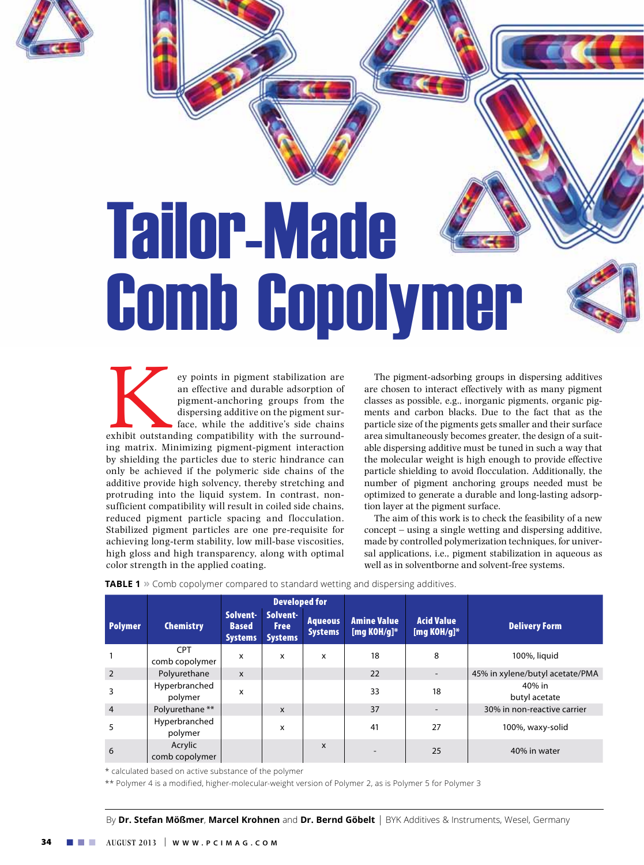

# Tailor-Made Comb Copolymer

ey points in pigment stabilization are<br>
an effective and durable adsorption of<br>
pigment-anchoring groups from the<br>
dispersing additive on the pigment sur-<br>
face, while the additive's side chains<br>
matrix. Minimizing pigment an effective and durable adsorption of pigment-anchoring groups from the dispersing additive on the pigment surface, while the additive's side chains exhibit outstanding compatibility with the surroundby shielding the particles due to steric hindrance can only be achieved if the polymeric side chains of the additive provide high solvency, thereby stretching and protruding into the liquid system. In contrast, nonsufficient compatibility will result in coiled side chains, reduced pigment particle spacing and flocculation. Stabilized pigment particles are one pre-requisite for achieving long-term stability, low mill-base viscosities, high gloss and high transparency, along with optimal color strength in the applied coating.

The pigment-adsorbing groups in dispersing additives are chosen to interact effectively with as many pigment classes as possible, e.g., inorganic pigments, organic pigments and carbon blacks. Due to the fact that as the particle size of the pigments gets smaller and their surface area simultaneously becomes greater, the design of a suitable dispersing additive must be tuned in such a way that the molecular weight is high enough to provide effective particle shielding to avoid flocculation. Additionally, the number of pigment anchoring groups needed must be optimized to generate a durable and long-lasting adsorption layer at the pigment surface.

The aim of this work is to check the feasibility of a new concept – using a single wetting and dispersing additive, made by controlled polymerization techniques, for universal applications, i.e., pigment stabilization in aqueous as well as in solventborne and solvent-free systems.

|                |                              | <b>Developed for</b>                       |                                           |                                  |                                      |                                     |                                 |
|----------------|------------------------------|--------------------------------------------|-------------------------------------------|----------------------------------|--------------------------------------|-------------------------------------|---------------------------------|
| <b>Polymer</b> | <b>Chemistry</b>             | Solvent-<br><b>Based</b><br><b>Systems</b> | Solvent-<br><b>Free</b><br><b>Systems</b> | <b>Aqueous</b><br><b>Systems</b> | <b>Amine Value</b><br>[mg KOH/g] $*$ | <b>Acid Value</b><br>[mg KOH/g] $*$ | <b>Delivery Form</b>            |
|                | <b>CPT</b><br>comb copolymer | x                                          | x                                         | x                                | 18                                   | 8                                   | 100%, liquid                    |
| $\overline{2}$ | Polyurethane                 | $\boldsymbol{\mathsf{x}}$                  |                                           |                                  | 22                                   |                                     | 45% in xylene/butyl acetate/PMA |
| 3              | Hyperbranched<br>polymer     | x                                          |                                           |                                  | 33                                   | 18                                  | 40% in<br>butyl acetate         |
| $\overline{4}$ | Polyurethane **              |                                            | $\mathsf{x}$                              |                                  | 37                                   |                                     | 30% in non-reactive carrier     |
| 5              | Hyperbranched<br>polymer     |                                            | x                                         |                                  | 41                                   | 27                                  | 100%, waxy-solid                |
| 6              | Acrylic<br>comb copolymer    |                                            |                                           | X                                |                                      | 25                                  | 40% in water                    |

**TABLE 1 »** Comb copolymer compared to standard wetting and dispersing additives.

\* calculated based on active substance of the polymer

\*\* Polymer 4 is a modified, higher-molecular-weight version of Polymer 2, as is Polymer 5 for Polymer 3

By **Dr. Stefan Mößmer**, **Marcel Krohnen** and **Dr. Bernd Göbelt** | BYK Additives & Instruments, Wesel, Germany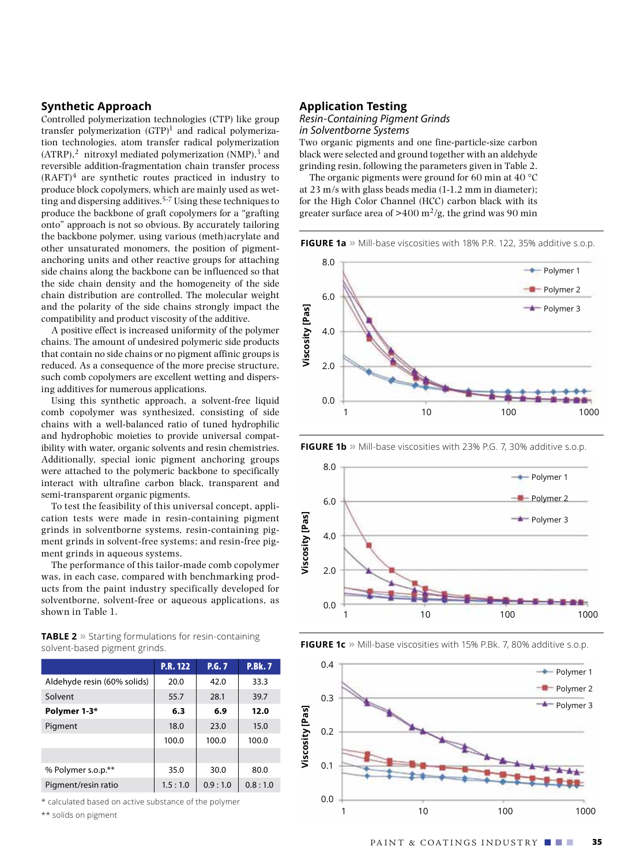# **Synthetic Approach**

Controlled polymerization technologies (CTP) like group transfer polymerization  $(GTP)^1$  and radical polymerization technologies, atom transfer radical polymerization  $(ATRP)$ ,<sup>2</sup> nitroxyl mediated polymerization  $(NMP)$ ,<sup>3</sup> and reversible addition-fragmentation chain transfer process  $(RAFT)^4$  are synthetic routes practiced in industry to produce block copolymers, which are mainly used as wetting and dispersing additives.<sup>5-7</sup> Using these techniques to produce the backbone of graft copolymers for a "grafting onto" approach is not so obvious. By accurately tailoring the backbone polymer, using various (meth)acrylate and other unsaturated monomers, the position of pigmentanchoring units and other reactive groups for attaching side chains along the backbone can be influenced so that the side chain density and the homogeneity of the side chain distribution are controlled. The molecular weight and the polarity of the side chains strongly impact the compatibility and product viscosity of the additive.

A positive effect is increased uniformity of the polymer chains. The amount of undesired polymeric side products that contain no side chains or no pigment affinic groups is reduced. As a consequence of the more precise structure, such comb copolymers are excellent wetting and dispersing additives for numerous applications.

Using this synthetic approach, a solvent-free liquid comb copolymer was synthesized, consisting of side chains with a well-balanced ratio of tuned hydrophilic and hydrophobic moieties to provide universal compatibility with water, organic solvents and resin chemistries. Additionally, special ionic pigment anchoring groups were attached to the polymeric backbone to specifically interact with ultrafine carbon black, transparent and semi-transparent organic pigments.

To test the feasibility of this universal concept, application tests were made in resin-containing pigment grinds in solventborne systems, resin-containing pigment grinds in solvent-free systems; and resin-free pigment grinds in aqueous systems.

The performance of this tailor-made comb copolymer was, in each case, compared with benchmarking products from the paint industry specifically developed for solventborne, solvent-free or aqueous applications, as shown in Table 1.

| <b>TABLE 2</b> » Starting formulations for resin-containing |
|-------------------------------------------------------------|
| solvent-based pigment grinds.                               |

|                             | <b>P.R. 122</b> | P.G.7   | <b>P.Bk.7</b> |
|-----------------------------|-----------------|---------|---------------|
| Aldehyde resin (60% solids) | 20.0            | 42.0    | 33.3          |
| Solvent                     | 55.7            | 28.1    | 39.7          |
| Polymer 1-3*                | 6.3             | 6.9     | 12.0          |
| Pigment                     | 18.0            | 23.0    | 15.0          |
|                             | 100.0           | 100.0   | 100.0         |
|                             |                 |         |               |
| % Polymer s.o.p.**          | 35.0            | 30.0    | 80.0          |
| Pigment/resin ratio         | 1.5:1.0         | 0.9:1.0 | 0.8:1.0       |

\* calculated based on active substance of the polymer

\*\* solids on pigment

#### **Application Testing**

## *Resin-Containing Pigment Grinds in Solventborne Systems*

Two organic pigments and one fine-particle-size carbon black were selected and ground together with an aldehyde grinding resin, following the parameters given in Table 2.

The organic pigments were ground for 60 min at 40  $^{\circ}$ C at 23 m/s with glass beads media (1-1.2 mm in diameter); for the High Color Channel (HCC) carbon black with its greater surface area of  $>400 \frac{\text{m}^2}{\text{g}}$ , the grind was 90 min

**FIGURE 1a »** Mill-base viscosities with 18% P.R. 122, 35% additive s.o.p.



**FIGURE 1b** » Mill-base viscosities with 23% P.G. 7, 30% additive s.o.p.



**FIGURE 1c** » Mill-base viscosities with 15% P.Bk. 7, 80% additive s.o.p.

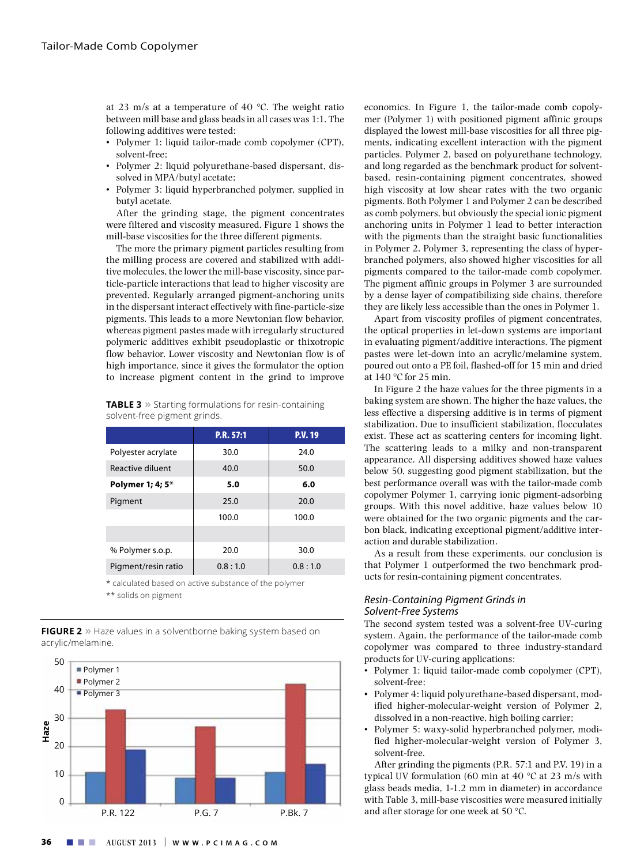at 23 m/s at a temperature of 40 °C. The weight ratio between mill base and glass beads in all cases was 1:1. The following additives were tested:

- • Polymer 1: liquid tailor-made comb copolymer (CPT), solvent-free;
- Polymer 2: liquid polyurethane-based dispersant, dissolved in MPA/butyl acetate;
	- • Polymer 3: liquid hyperbranched polymer, supplied in butyl acetate.

After the grinding stage, the pigment concentrates were filtered and viscosity measured. Figure 1 shows the mill-base viscosities for the three different pigments.

The more the primary pigment particles resulting from the milling process are covered and stabilized with additive molecules, the lower the mill-base viscosity, since particle-particle interactions that lead to higher viscosity are prevented. Regularly arranged pigment-anchoring units in the dispersant interact effectively with fine-particle-size pigments. This leads to a more Newtonian flow behavior, whereas pigment pastes made with irregularly structured polymeric additives exhibit pseudoplastic or thixotropic flow behavior. Lower viscosity and Newtonian flow is of high importance, since it gives the formulator the option to increase pigment content in the grind to improve

| <b>TABLE 3</b> » Starting formulations for resin-containing |
|-------------------------------------------------------------|
| solvent-free pigment grinds.                                |

| ັ<br>ັ              |           |         |  |  |
|---------------------|-----------|---------|--|--|
|                     | P.R. 57:1 | P.V. 19 |  |  |
| Polyester acrylate  | 30.0      | 24.0    |  |  |
| Reactive diluent    | 40.0      | 50.0    |  |  |
| Polymer 1; 4; 5*    | 5.0       | 6.0     |  |  |
| Pigment             | 25.0      | 20.0    |  |  |
|                     | 100.0     | 100.0   |  |  |
|                     |           |         |  |  |
| % Polymer s.o.p.    | 20.0      | 30.0    |  |  |
| Pigment/resin ratio | 0.8:1.0   | 0.8:1.0 |  |  |
|                     |           |         |  |  |

\* calculated based on active substance of the polymer \*\* solids on pigment

**FIGURE 2 »** Haze values in a solventborne baking system based on acrylic/melamine.



economics. In Figure 1, the tailor-made comb copolymer (Polymer 1) with positioned pigment affinic groups displayed the lowest mill-base viscosities for all three pigments, indicating excellent interaction with the pigment particles. Polymer 2, based on polyurethane technology, and long regarded as the benchmark product for solventbased, resin-containing pigment concentrates, showed high viscosity at low shear rates with the two organic pigments. Both Polymer 1 and Polymer 2 can be described as comb polymers, but obviously the special ionic pigment anchoring units in Polymer 1 lead to better interaction with the pigments than the straight basic functionalities in Polymer 2. Polymer 3, representing the class of hyperbranched polymers, also showed higher viscosities for all pigments compared to the tailor-made comb copolymer. The pigment affinic groups in Polymer 3 are surrounded by a dense layer of compatibilizing side chains, therefore they are likely less accessible than the ones in Polymer 1.

Apart from viscosity profiles of pigment concentrates, the optical properties in let-down systems are important in evaluating pigment/additive interactions. The pigment pastes were let-down into an acrylic/melamine system, poured out onto a PE foil, flashed-off for 15 min and dried at 140 °C for 25 min.

In Figure 2 the haze values for the three pigments in a baking system are shown. The higher the haze values, the less effective a dispersing additive is in terms of pigment stabilization. Due to insufficient stabilization, flocculates exist. These act as scattering centers for incoming light. The scattering leads to a milky and non-transparent appearance. All dispersing additives showed haze values below 50, suggesting good pigment stabilization, but the best performance overall was with the tailor-made comb copolymer Polymer 1, carrying ionic pigment-adsorbing groups. With this novel additive, haze values below 10 were obtained for the two organic pigments and the carbon black, indicating exceptional pigment/additive interaction and durable stabilization.

As a result from these experiments, our conclusion is that Polymer 1 outperformed the two benchmark products for resin-containing pigment concentrates.

#### *Resin-Containing Pigment Grinds in Solvent-Free Systems*

The second system tested was a solvent-free UV-curing system. Again, the performance of the tailor-made comb copolymer was compared to three industry-standard products for UV-curing applications:

- Polymer 1: liquid tailor-made comb copolymer (CPT), solvent-free;
- Polymer 4: liquid polyurethane-based dispersant, modified higher-molecular-weight version of Polymer 2, dissolved in a non-reactive, high boiling carrier;
- Polymer 5: waxy-solid hyperbranched polymer, modified higher-molecular-weight version of Polymer 3, solvent-free.

After grinding the pigments (P.R. 57:1 and P.V. 19) in a typical UV formulation (60 min at 40 °C at 23 m/s with glass beads media, 1-1.2 mm in diameter) in accordance with Table 3, mill-base viscosities were measured initially and after storage for one week at 50 °C.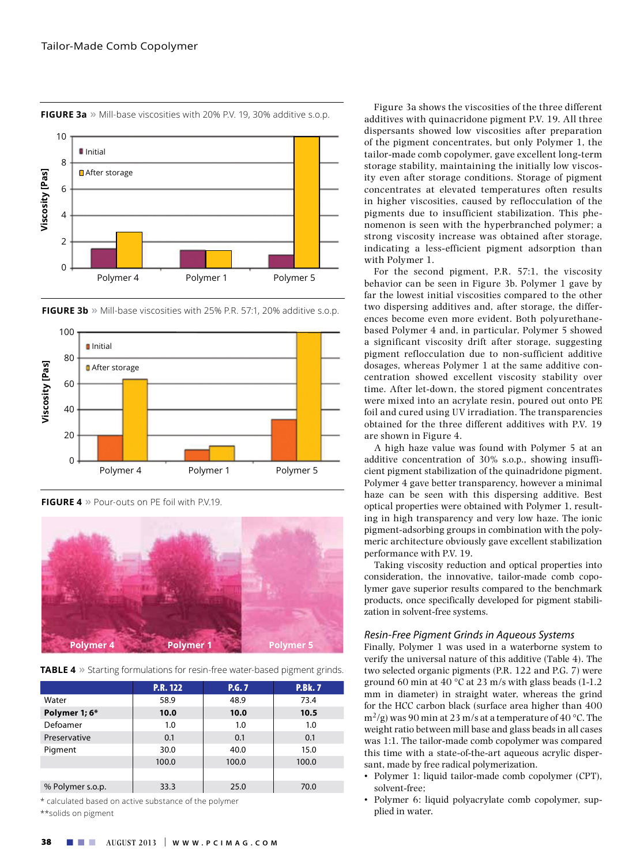

**FIGURE 3a »** Mill-base viscosities with 20% P.V. 19, 30% additive s.o.p.



**FIGURE 4 »** Pour-outs on PE foil with P.V.19.



**TABLE 4 »** Starting formulations for resin-free water-based pigment grinds.

|                  | <b>P.R. 122</b> | P.G.7 | <b>P.Bk.7</b> |
|------------------|-----------------|-------|---------------|
| Water            | 58.9            | 48.9  | 73.4          |
| Polymer 1; 6*    | 10.0            | 10.0  | 10.5          |
| Defoamer         | 1.0             | 1.0   | 1.0           |
| Preservative     | 0.1             | 0.1   | 0.1           |
| Pigment          | 30.0            | 40.0  | 15.0          |
|                  | 100.0           | 100.0 | 100.0         |
|                  |                 |       |               |
| % Polymer s.o.p. | 33.3            | 25.0  | 70.0          |

 $^\star$  calculated based on active substance of the polymer d: P.R. 122 P.G. 7 P.Bk. 7 P.<br>P.R. 122 P.A. 122 P.A. 122 P.A. 122 P.A. 122 P.A. 122 P.A. 122 P.A. 122 P.A. 122 P.A. 122 P.A. 122 P.A. 122 P.

Figure 3a shows the viscosities of the three different additives with quinacridone pigment P.V. 19. All three dispersants showed low viscosities after preparation of the pigment concentrates, but only Polymer 1, the tailor-made comb copolymer, gave excellent long-term storage stability, maintaining the initially low viscosity even after storage conditions. Storage of pigment concentrates at elevated temperatures often results in higher viscosities, caused by reflocculation of the pigments due to insufficient stabilization. This phenomenon is seen with the hyperbranched polymer; a strong viscosity increase was obtained after storage, indicating a less-efficient pigment adsorption than with Polymer 1.

For the second pigment, P.R. 57:1, the viscosity behavior can be seen in Figure 3b. Polymer 1 gave by far the lowest initial viscosities compared to the other two dispersing additives and, after storage, the differences become even more evident. Both polyurethanebased Polymer 4 and, in particular, Polymer 5 showed a significant viscosity drift after storage, suggesting pigment reflocculation due to non-sufficient additive dosages, whereas Polymer 1 at the same additive concentration showed excellent viscosity stability over time. After let-down, the stored pigment concentrates were mixed into an acrylate resin, poured out onto PE foil and cured using UV irradiation. The transparencies obtained for the three different additives with P.V. 19 are shown in Figure 4.

A high haze value was found with Polymer 5 at an additive concentration of 30% s.o.p., showing insufficient pigment stabilization of the quinadridone pigment. Polymer 4 gave better transparency, however a minimal haze can be seen with this dispersing additive. Best optical properties were obtained with Polymer 1, resulting in high transparency and very low haze. The ionic pigment-adsorbing groups in combination with the polymeric architecture obviously gave excellent stabilization performance with P.V. 19.

Taking viscosity reduction and optical properties into consideration, the innovative, tailor-made comb copolymer gave superior results compared to the benchmark products, once specifically developed for pigment stabilization in solvent-free systems.

#### *Resin-Free Pigment Grinds in Aqueous Systems*

Finally, Polymer 1 was used in a waterborne system to verify the universal nature of this additive (Table 4). The two selected organic pigments (P.R. 122 and P.G. 7) were ground 60 min at 40  $\degree$ C at 23 m/s with glass beads (1-1.2) mm in diameter) in straight water, whereas the grind for the HCC carbon black (surface area higher than 400  $m^2/g$ ) was 90 min at 23 m/s at a temperature of 40 °C. The weight ratio between mill base and glass beads in all cases was 1:1. The tailor-made comb copolymer was compared this time with a state-of-the-art aqueous acrylic dispersant, made by free radical polymerization.

- • Polymer 1: liquid tailor-made comb copolymer (CPT), solvent-free;
- • Polymer 6: liquid polyacrylate comb copolymer, supplied in water.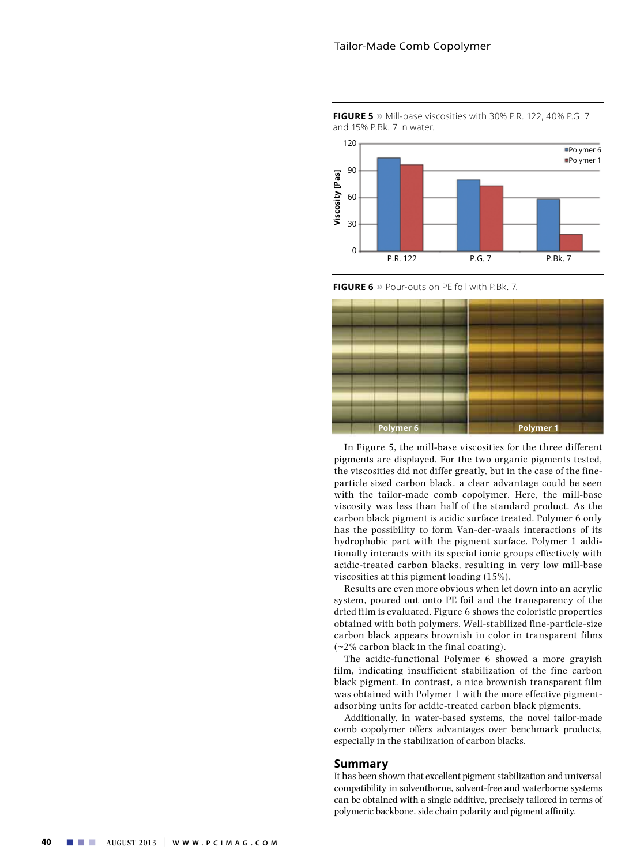

**FIGURE 5**  $\gg$  Mill-base viscosities with 30% P.R. 122, 40% P.G. 7 **Tailor-Made Comb •**<br>**FIGURE 5 »** Mill-base vis<br>and 15% P.Bk. 7 in water.

**Polymer 4 Polymer 1 Polymer 5**

**FIGURE 6 »** Pour-outs on PE foil with P.Bk. 7.



In Figure 5, the mill-base viscosities for the three different pigments are displayed. For the two organic pigments tested, the viscosities did not differ greatly, but in the case of the fineparticle sized carbon black, a clear advantage could be seen with the tailor-made comb copolymer. Here, the mill-base viscosity was less than half of the standard product. As the carbon black pigment is acidic surface treated, Polymer 6 only has the possibility to form Van-der-waals interactions of its hydrophobic part with the pigment surface. Polymer 1 additionally interacts with its special ionic groups effectively with acidic-treated carbon blacks, resulting in very low mill-base viscosities at this pigment loading (15%).

Results are even more obvious when let down into an acrylic system, poured out onto PE foil and the transparency of the dried film is evaluated. Figure 6 shows the coloristic properties obtained with both polymers. Well-stabilized fine-particle-size carbon black appears brownish in color in transparent films  $(-2%$  carbon black in the final coating).

The acidic-functional Polymer 6 showed a more grayish film, indicating insufficient stabilization of the fine carbon black pigment. In contrast, a nice brownish transparent film was obtained with Polymer 1 with the more effective pigmentadsorbing units for acidic-treated carbon black pigments.

Additionally, in water-based systems, the novel tailor-made comb copolymer offers advantages over benchmark products, especially in the stabilization of carbon blacks.

# **Summary**

It has been shown that excellent pigment stabilization and universal compatibility in solventborne, solvent-free and waterborne systems can be obtained with a single additive, precisely tailored in terms of